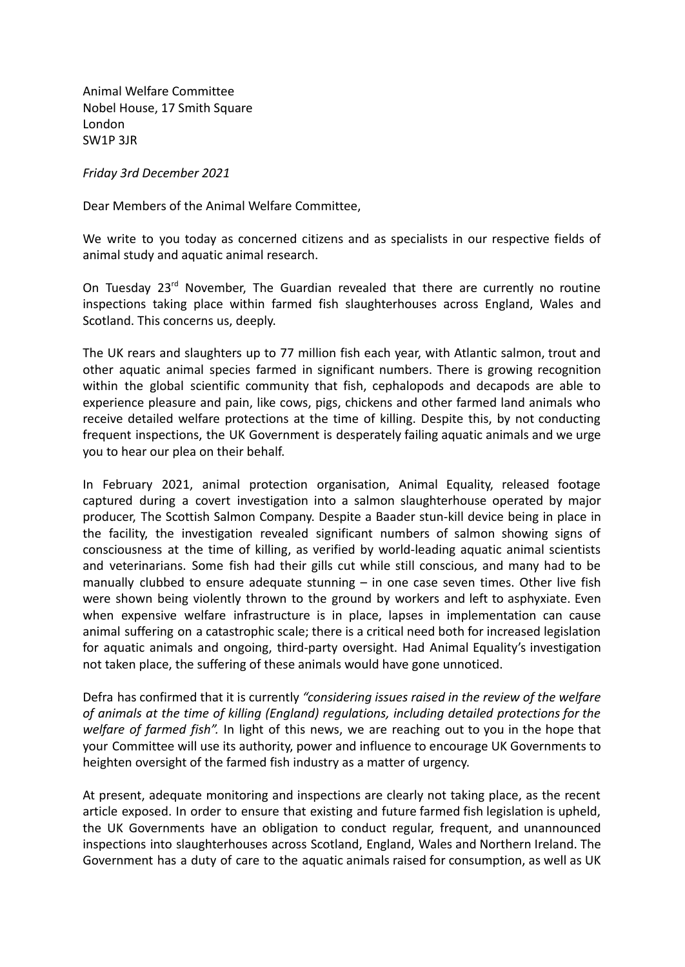Animal Welfare Committee Nobel House, 17 Smith Square London SW1P 3JR

*Friday 3rd December 2021*

Dear Members of the Animal Welfare Committee,

We write to you today as concerned citizens and as specialists in our respective fields of animal study and aquatic animal research.

On Tuesday  $23<sup>rd</sup>$  November. The Guardian revealed that there are currently no routine inspections taking place within farmed fish slaughterhouses across England, Wales and Scotland. This concerns us, deeply.

The UK rears and slaughters up to 77 million fish each year, with Atlantic salmon, trout and other aquatic animal species farmed in significant numbers. There is growing recognition within the global scientific community that fish, cephalopods and decapods are able to experience pleasure and pain, like cows, pigs, chickens and other farmed land animals who receive detailed welfare protections at the time of killing. Despite this, by not conducting frequent inspections, the UK Government is desperately failing aquatic animals and we urge you to hear our plea on their behalf.

In February 2021, animal protection organisation, Animal Equality, released footage captured during a covert investigation into a salmon slaughterhouse operated by major producer, The Scottish Salmon Company. Despite a Baader stun-kill device being in place in the facility, the investigation revealed significant numbers of salmon showing signs of consciousness at the time of killing, as verified by world-leading aquatic animal scientists and veterinarians. Some fish had their gills cut while still conscious, and many had to be manually clubbed to ensure adequate stunning – in one case seven times. Other live fish were shown being violently thrown to the ground by workers and left to asphyxiate. Even when expensive welfare infrastructure is in place, lapses in implementation can cause animal suffering on a catastrophic scale; there is a critical need both for increased legislation for aquatic animals and ongoing, third-party oversight. Had Animal Equality's investigation not taken place, the suffering of these animals would have gone unnoticed.

Defra has confirmed that it is currently *"considering issues raised in the review of the welfare of animals at the time of killing (England) regulations, including detailed protections for the welfare of farmed fish".* In light of this news, we are reaching out to you in the hope that your Committee will use its authority, power and influence to encourage UK Governments to heighten oversight of the farmed fish industry as a matter of urgency.

At present, adequate monitoring and inspections are clearly not taking place, as the recent article exposed. In order to ensure that existing and future farmed fish legislation is upheld, the UK Governments have an obligation to conduct regular, frequent, and unannounced inspections into slaughterhouses across Scotland, England, Wales and Northern Ireland. The Government has a duty of care to the aquatic animals raised for consumption, as well as UK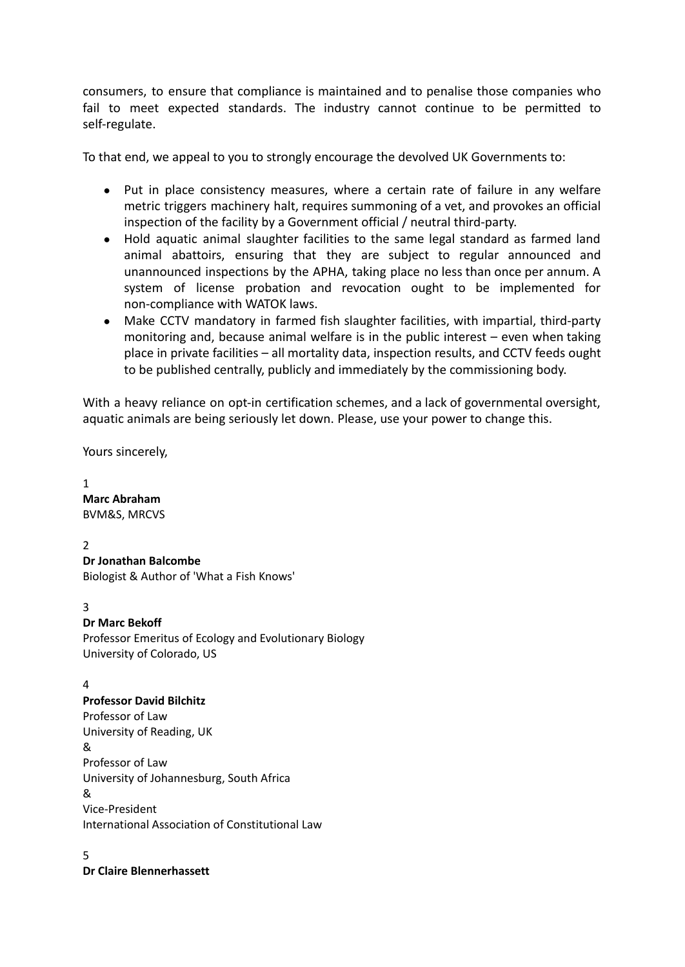consumers, to ensure that compliance is maintained and to penalise those companies who fail to meet expected standards. The industry cannot continue to be permitted to self-regulate.

To that end, we appeal to you to strongly encourage the devolved UK Governments to:

- Put in place consistency measures, where a certain rate of failure in any welfare metric triggers machinery halt, requires summoning of a vet, and provokes an official inspection of the facility by a Government official / neutral third-party.
- Hold aquatic animal slaughter facilities to the same legal standard as farmed land animal abattoirs, ensuring that they are subject to regular announced and unannounced inspections by the APHA, taking place no less than once per annum. A system of license probation and revocation ought to be implemented for non-compliance with WATOK laws.
- Make CCTV mandatory in farmed fish slaughter facilities, with impartial, third-party monitoring and, because animal welfare is in the public interest – even when taking place in private facilities – all mortality data, inspection results, and CCTV feeds ought to be published centrally, publicly and immediately by the commissioning body.

With a heavy reliance on opt-in certification schemes, and a lack of governmental oversight, aquatic animals are being seriously let down. Please, use your power to change this.

Yours sincerely,

1 **Marc Abraham** BVM&S, MRCVS

 $\overline{2}$ 

**Dr Jonathan Balcombe**

Biologist & Author of 'What a Fish Knows'

3

# **Dr Marc Bekoff**

Professor Emeritus of Ecology and Evolutionary Biology University of Colorado, US

# 4

# **Professor David Bilchitz**

Professor of Law University of Reading, UK & Professor of Law University of Johannesburg, South Africa & Vice-President International Association of Constitutional Law

5

**Dr Claire Blennerhassett**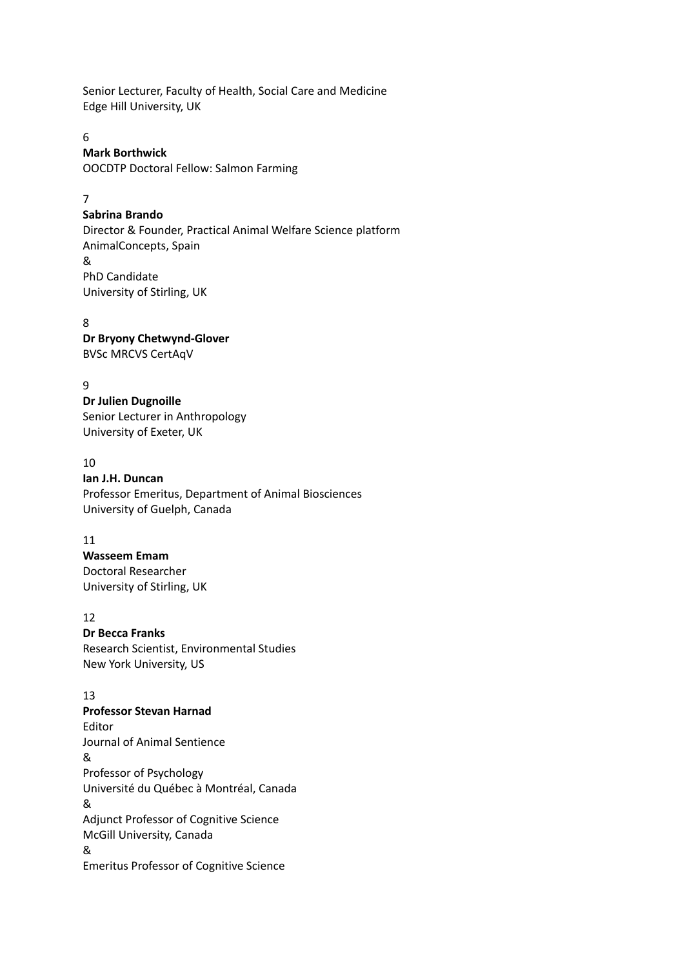Senior Lecturer, Faculty of Health, Social Care and Medicine Edge Hill University, UK

#### 6

#### **Mark Borthwick**

OOCDTP Doctoral Fellow: Salmon Farming

#### 7

#### **Sabrina Brando**

Director & Founder, Practical Animal Welfare Science platform AnimalConcepts, Spain & PhD Candidate University of Stirling, UK

#### 8 **Dr Bryony Chetwynd-Glover** BVSc MRCVS CertAqV

### 9

**Dr Julien Dugnoille** Senior Lecturer in Anthropology University of Exeter, UK

#### 10

#### **Ian J.H. Duncan** Professor Emeritus, Department of Animal Biosciences University of Guelph, Canada

### 11

**Wasseem Emam** Doctoral Researcher University of Stirling, UK

### 12

### **Dr Becca Franks** Research Scientist, Environmental Studies New York University, US

### 13

**Professor Stevan Harnad** Editor Journal of Animal Sentience & Professor of Psychology Université du Québec à Montréal, Canada & Adjunct Professor of Cognitive Science McGill University, Canada & Emeritus Professor of Cognitive Science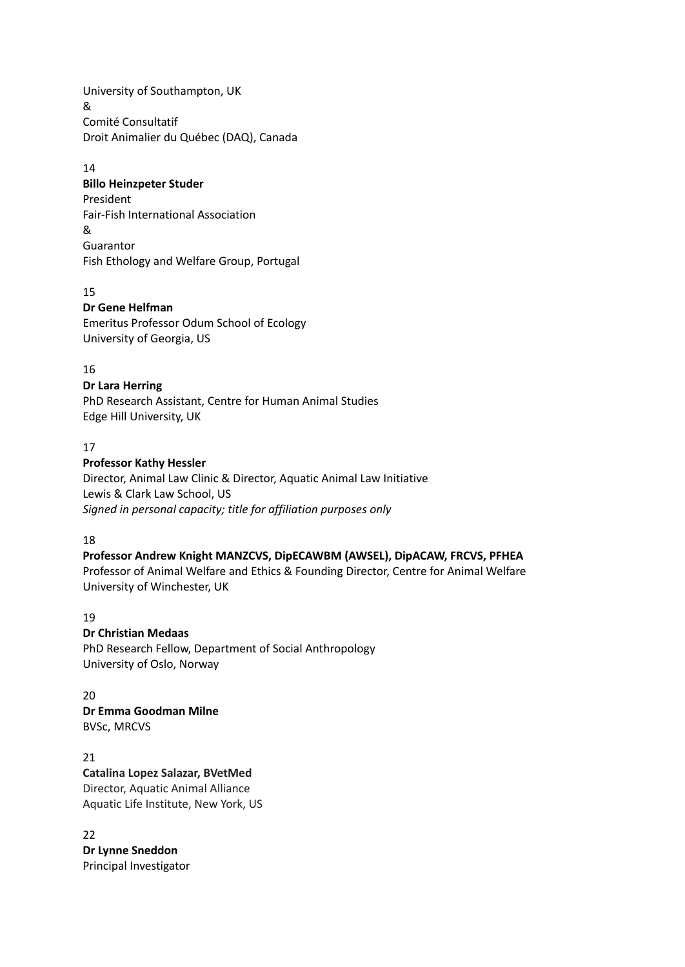University of Southampton, UK & Comité Consultatif Droit Animalier du Québec (DAQ), Canada

#### 14

### **Billo Heinzpeter Studer**

President Fair-Fish International Association & Guarantor Fish Ethology and Welfare Group, Portugal

### 15

### **Dr Gene Helfman** Emeritus Professor Odum School of Ecology University of Georgia, US

### 16

### **Dr Lara Herring**

PhD Research Assistant, Centre for Human Animal Studies Edge Hill University, UK

### 17

### **Professor Kathy Hessler**

Director, Animal Law Clinic & Director, Aquatic Animal Law Initiative Lewis & Clark Law School, US *Signed in personal capacity; title for affiliation purposes only*

### 18

### **Professor Andrew Knight MANZCVS, DipECAWBM (AWSEL), DipACAW, FRCVS, PFHEA**

Professor of Animal Welfare and Ethics & Founding Director, Centre for Animal Welfare University of Winchester, UK

### 19

# **Dr Christian Medaas**

PhD Research Fellow, Department of Social Anthropology University of Oslo, Norway

 $20$ **Dr Emma Goodman Milne** BVSc, MRCVS

21 **Catalina Lopez Salazar, BVetMed** Director, Aquatic Animal Alliance Aquatic Life Institute, New York, US

22

**Dr Lynne Sneddon** Principal Investigator